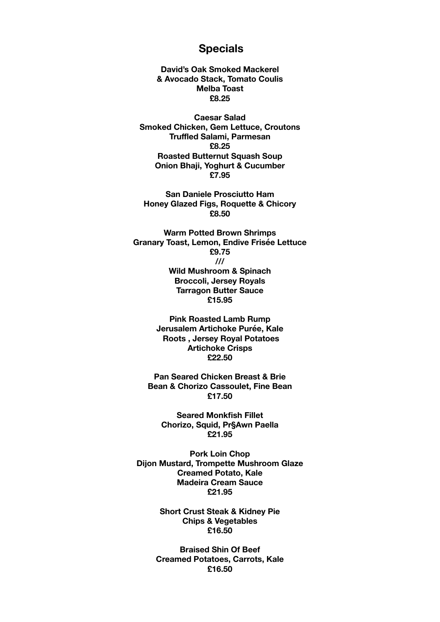## **Specials**

**David's Oak Smoked Mackerel & Avocado Stack, Tomato Coulis Melba Toast £8.25** 

**Caesar Salad Smoked Chicken, Gem Lettuce, Croutons Truffled Salami, Parmesan £8.25 Roasted Butternut Squash Soup Onion Bhaji, Yoghurt & Cucumber £7.95** 

**San Daniele Prosciutto Ham Honey Glazed Figs, Roquette & Chicory £8.50** 

**Warm Potted Brown Shrimps Granary Toast, Lemon, Endive Frisée Lettuce £9.75 /// Wild Mushroom & Spinach Broccoli, Jersey Royals Tarragon Butter Sauce £15.95** 

> **Pink Roasted Lamb Rump Jerusalem Artichoke Purée, Kale Roots , Jersey Royal Potatoes Artichoke Crisps £22.50**

**Pan Seared Chicken Breast & Brie Bean & Chorizo Cassoulet, Fine Bean £17.50** 

**Seared Monkfish Fillet Chorizo, Squid, Pr§Awn Paella £21.95** 

**Pork Loin Chop Dijon Mustard, Trompette Mushroom Glaze Creamed Potato, Kale Madeira Cream Sauce £21.95** 

> **Short Crust Steak & Kidney Pie Chips & Vegetables £16.50**

**Braised Shin Of Beef Creamed Potatoes, Carrots, Kale £16.50**